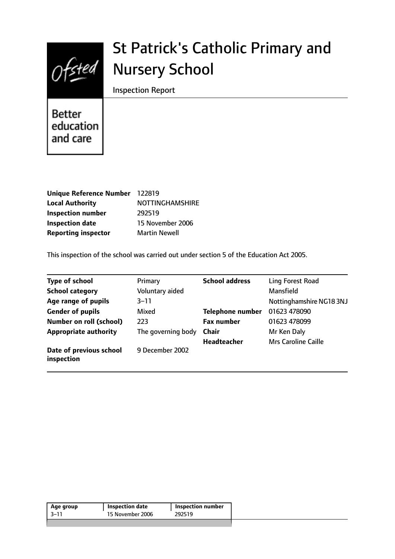

# St Patrick's Catholic Primary and Nursery School

Inspection Report

Better education and care

| Unique Reference Number 122819 |                        |
|--------------------------------|------------------------|
| <b>Local Authority</b>         | <b>NOTTINGHAMSHIRE</b> |
| <b>Inspection number</b>       | 292519                 |
| <b>Inspection date</b>         | 15 November 2006       |
| <b>Reporting inspector</b>     | <b>Martin Newell</b>   |

This inspection of the school was carried out under section 5 of the Education Act 2005.

| <b>Type of school</b>                 | Primary            | <b>School address</b>   | Ling Forest Road           |
|---------------------------------------|--------------------|-------------------------|----------------------------|
| <b>School category</b>                | Voluntary aided    |                         | <b>Mansfield</b>           |
| Age range of pupils                   | $3 - 11$           |                         | Nottinghamshire NG183NJ    |
| <b>Gender of pupils</b>               | Mixed              | <b>Telephone number</b> | 01623 478090               |
| <b>Number on roll (school)</b>        | 223                | <b>Fax number</b>       | 01623 478099               |
| <b>Appropriate authority</b>          | The governing body | <b>Chair</b>            | Mr Ken Daly                |
|                                       |                    | <b>Headteacher</b>      | <b>Mrs Caroline Caille</b> |
| Date of previous school<br>inspection | 9 December 2002    |                         |                            |

| Age group | Inspection date  | <b>Inspection number</b> |
|-----------|------------------|--------------------------|
| -3–11     | 15 November 2006 | 292519                   |
|           |                  |                          |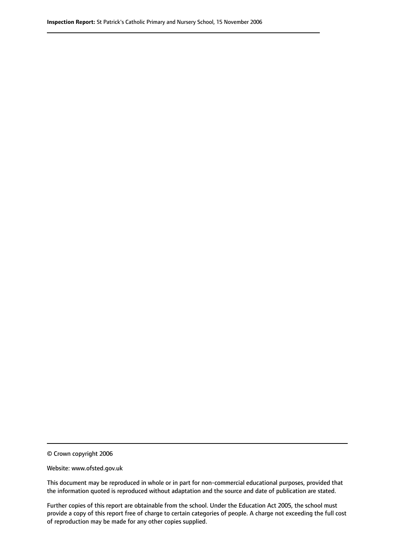© Crown copyright 2006

Website: www.ofsted.gov.uk

This document may be reproduced in whole or in part for non-commercial educational purposes, provided that the information quoted is reproduced without adaptation and the source and date of publication are stated.

Further copies of this report are obtainable from the school. Under the Education Act 2005, the school must provide a copy of this report free of charge to certain categories of people. A charge not exceeding the full cost of reproduction may be made for any other copies supplied.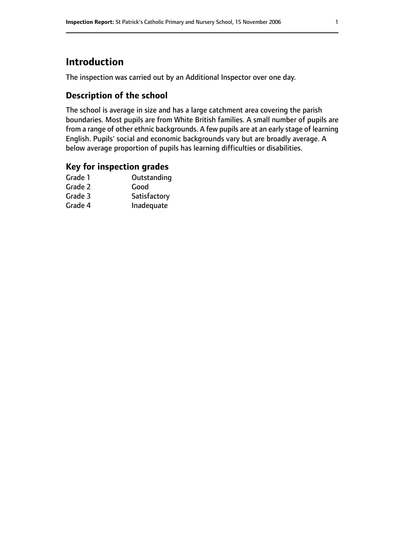# **Introduction**

The inspection was carried out by an Additional Inspector over one day.

## **Description of the school**

The school is average in size and has a large catchment area covering the parish boundaries. Most pupils are from White British families. A small number of pupils are from a range of other ethnic backgrounds. A few pupils are at an early stage of learning English. Pupils' social and economic backgrounds vary but are broadly average. A below average proportion of pupils has learning difficulties or disabilities.

## **Key for inspection grades**

| Good         |
|--------------|
|              |
| Satisfactory |
| Inadequate   |
|              |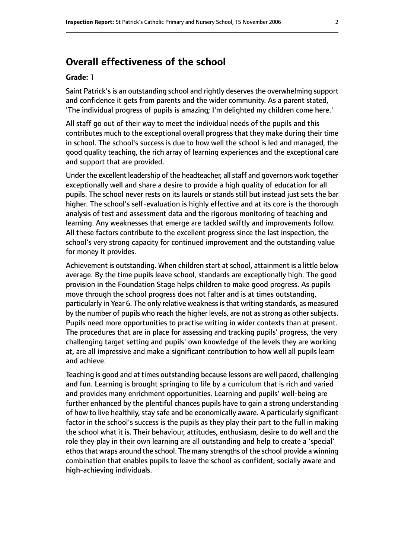# **Overall effectiveness of the school**

#### **Grade: 1**

Saint Patrick'sis an outstanding school and rightly deservesthe overwhelming support and confidence it gets from parents and the wider community. As a parent stated, 'The individual progress of pupils is amazing; I'm delighted my children come here.'

All staff go out of their way to meet the individual needs of the pupils and this contributes much to the exceptional overall progress that they make during their time in school. The school's success is due to how well the school is led and managed, the good quality teaching, the rich array of learning experiences and the exceptional care and support that are provided.

Under the excellent leadership of the headteacher, all staff and governors work together exceptionally well and share a desire to provide a high quality of education for all pupils. The school never rests on its laurels or stands still but instead just sets the bar higher. The school's self-evaluation is highly effective and at its core is the thorough analysis of test and assessment data and the rigorous monitoring of teaching and learning. Any weaknesses that emerge are tackled swiftly and improvements follow. All these factors contribute to the excellent progress since the last inspection, the school's very strong capacity for continued improvement and the outstanding value for money it provides.

Achievement is outstanding. When children start at school, attainment is a little below average. By the time pupils leave school, standards are exceptionally high. The good provision in the Foundation Stage helps children to make good progress. As pupils move through the school progress does not falter and is at times outstanding, particularly in Year 6. The only relative weakness is that writing standards, as measured by the number of pupils who reach the higher levels, are not as strong as other subjects. Pupils need more opportunities to practise writing in wider contexts than at present. The procedures that are in place for assessing and tracking pupils' progress, the very challenging target setting and pupils' own knowledge of the levels they are working at, are all impressive and make a significant contribution to how well all pupils learn and achieve.

Teaching is good and at times outstanding because lessons are well paced, challenging and fun. Learning is brought springing to life by a curriculum that is rich and varied and provides many enrichment opportunities. Learning and pupils' well-being are further enhanced by the plentiful chances pupils have to gain a strong understanding of how to live healthily, stay safe and be economically aware. A particularly significant factor in the school's success is the pupils as they play their part to the full in making the school what it is. Their behaviour, attitudes, enthusiasm, desire to do well and the role they play in their own learning are all outstanding and help to create a 'special' ethos that wraps around the school. The many strengths of the school provide a winning combination that enables pupils to leave the school as confident, socially aware and high-achieving individuals.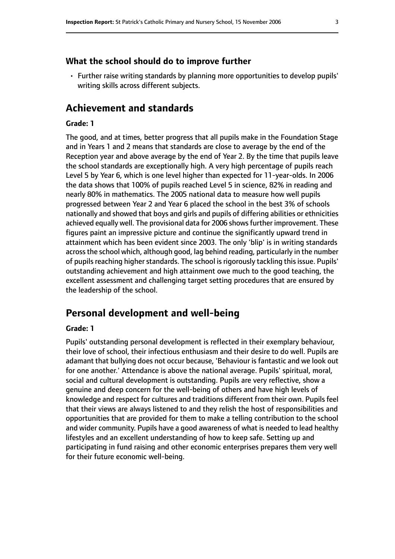## **What the school should do to improve further**

• Further raise writing standards by planning more opportunities to develop pupils' writing skills across different subjects.

## **Achievement and standards**

#### **Grade: 1**

The good, and at times, better progress that all pupils make in the Foundation Stage and in Years 1 and 2 means that standards are close to average by the end of the Reception year and above average by the end of Year 2. By the time that pupils leave the school standards are exceptionally high. A very high percentage of pupils reach Level 5 by Year 6, which is one level higher than expected for 11-year-olds. In 2006 the data shows that 100% of pupils reached Level 5 in science, 82% in reading and nearly 80% in mathematics. The 2005 national data to measure how well pupils progressed between Year 2 and Year 6 placed the school in the best 3% of schools nationally and showed that boys and girls and pupils of differing abilities or ethnicities achieved equally well. The provisional data for 2006 shows further improvement. These figures paint an impressive picture and continue the significantly upward trend in attainment which has been evident since 2003. The only 'blip' is in writing standards acrossthe school which, although good, lag behind reading, particularly in the number of pupils reaching higher standards. The school is rigorously tackling this issue. Pupils' outstanding achievement and high attainment owe much to the good teaching, the excellent assessment and challenging target setting procedures that are ensured by the leadership of the school.

## **Personal development and well-being**

#### **Grade: 1**

Pupils' outstanding personal development is reflected in their exemplary behaviour, their love of school, their infectious enthusiasm and their desire to do well. Pupils are adamant that bullying does not occur because, 'Behaviour is fantastic and we look out for one another.' Attendance is above the national average. Pupils' spiritual, moral, social and cultural development is outstanding. Pupils are very reflective, show a genuine and deep concern for the well-being of others and have high levels of knowledge and respect for cultures and traditions different from their own. Pupils feel that their views are always listened to and they relish the host of responsibilities and opportunities that are provided for them to make a telling contribution to the school and wider community. Pupils have a good awareness of what is needed to lead healthy lifestyles and an excellent understanding of how to keep safe. Setting up and participating in fund raising and other economic enterprises prepares them very well for their future economic well-being.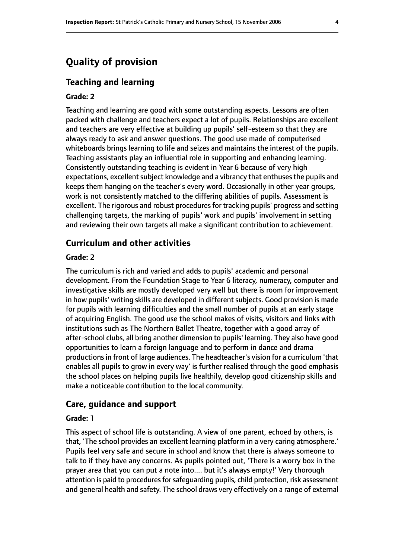# **Quality of provision**

## **Teaching and learning**

#### **Grade: 2**

Teaching and learning are good with some outstanding aspects. Lessons are often packed with challenge and teachers expect a lot of pupils. Relationships are excellent and teachers are very effective at building up pupils' self-esteem so that they are always ready to ask and answer questions. The good use made of computerised whiteboards brings learning to life and seizes and maintains the interest of the pupils. Teaching assistants play an influential role in supporting and enhancing learning. Consistently outstanding teaching is evident in Year 6 because of very high expectations, excellent subject knowledge and a vibrancy that enthuses the pupils and keeps them hanging on the teacher's every word. Occasionally in other year groups, work is not consistently matched to the differing abilities of pupils. Assessment is excellent. The rigorous and robust procedures for tracking pupils' progress and setting challenging targets, the marking of pupils' work and pupils' involvement in setting and reviewing their own targets all make a significant contribution to achievement.

## **Curriculum and other activities**

#### **Grade: 2**

The curriculum is rich and varied and adds to pupils' academic and personal development. From the Foundation Stage to Year 6 literacy, numeracy, computer and investigative skills are mostly developed very well but there is room for improvement in how pupils' writing skills are developed in different subjects. Good provision is made for pupils with learning difficulties and the small number of pupils at an early stage of acquiring English. The good use the school makes of visits, visitors and links with institutions such as The Northern Ballet Theatre, together with a good array of after-school clubs, all bring another dimension to pupils' learning. They also have good opportunities to learn a foreign language and to perform in dance and drama productions in front of large audiences. The headteacher's vision for a curriculum 'that enables all pupils to grow in every way' is further realised through the good emphasis the school places on helping pupils live healthily, develop good citizenship skills and make a noticeable contribution to the local community.

## **Care, guidance and support**

#### **Grade: 1**

This aspect of school life is outstanding. A view of one parent, echoed by others, is that, 'The school provides an excellent learning platform in a very caring atmosphere.' Pupils feel very safe and secure in school and know that there is always someone to talk to if they have any concerns. As pupils pointed out, 'There is a worry box in the prayer area that you can put a note into.... but it's always empty!' Very thorough attention is paid to procedures for safequarding pupils, child protection, risk assessment and general health and safety. The school draws very effectively on a range of external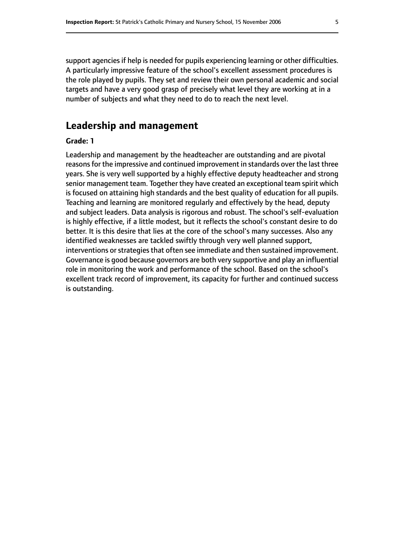support agencies if help is needed for pupils experiencing learning or other difficulties. A particularly impressive feature of the school's excellent assessment procedures is the role played by pupils. They set and review their own personal academic and social targets and have a very good grasp of precisely what level they are working at in a number of subjects and what they need to do to reach the next level.

## **Leadership and management**

## **Grade: 1**

Leadership and management by the headteacher are outstanding and are pivotal reasons for the impressive and continued improvement in standards over the last three years. She is very well supported by a highly effective deputy headteacher and strong senior management team. Together they have created an exceptional team spirit which is focused on attaining high standards and the best quality of education for all pupils. Teaching and learning are monitored regularly and effectively by the head, deputy and subject leaders. Data analysis is rigorous and robust. The school's self-evaluation is highly effective, if a little modest, but it reflects the school's constant desire to do better. It is this desire that lies at the core of the school's many successes. Also any identified weaknesses are tackled swiftly through very well planned support, interventions or strategies that often see immediate and then sustained improvement. Governance is good because governors are both very supportive and play an influential role in monitoring the work and performance of the school. Based on the school's excellent track record of improvement, its capacity for further and continued success is outstanding.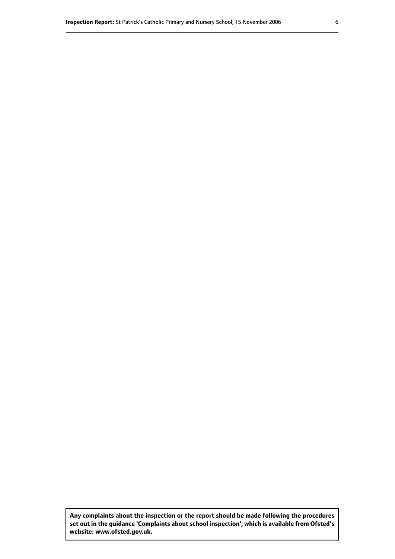**Any complaints about the inspection or the report should be made following the procedures set out inthe guidance 'Complaints about school inspection', whichis available from Ofsted's website: www.ofsted.gov.uk.**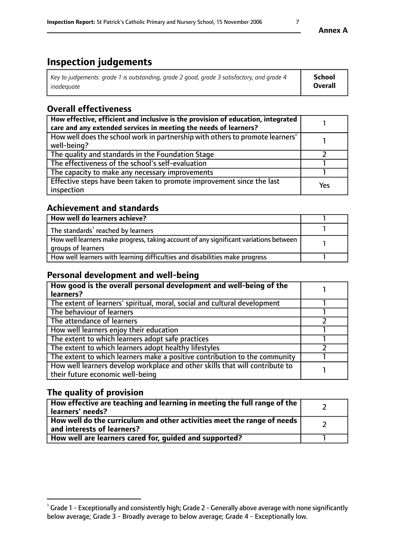| Key to judgements: grade 1 is outstanding, grade 2 good, grade 3 satisfactory, and grade 4 | School  |
|--------------------------------------------------------------------------------------------|---------|
| inadeauate                                                                                 | Overall |

## **Overall effectiveness**

| How effective, efficient and inclusive is the provision of education, integrated<br>care and any extended services in meeting the needs of learners? |     |
|------------------------------------------------------------------------------------------------------------------------------------------------------|-----|
| How well does the school work in partnership with others to promote learners'<br>well-being?                                                         |     |
| The quality and standards in the Foundation Stage                                                                                                    |     |
| The effectiveness of the school's self-evaluation                                                                                                    |     |
| The capacity to make any necessary improvements                                                                                                      |     |
| Effective steps have been taken to promote improvement since the last<br>inspection                                                                  | Yes |

# **Achievement and standards**

| How well do learners achieve?                                                                               |  |
|-------------------------------------------------------------------------------------------------------------|--|
| The standards <sup>1</sup> reached by learners                                                              |  |
| How well learners make progress, taking account of any significant variations between<br>groups of learners |  |
| How well learners with learning difficulties and disabilities make progress                                 |  |

# **Personal development and well-being**

| How good is the overall personal development and well-being of the<br>learners?                                  |  |
|------------------------------------------------------------------------------------------------------------------|--|
| The extent of learners' spiritual, moral, social and cultural development                                        |  |
| The behaviour of learners                                                                                        |  |
| The attendance of learners                                                                                       |  |
| How well learners enjoy their education                                                                          |  |
| The extent to which learners adopt safe practices                                                                |  |
| The extent to which learners adopt healthy lifestyles                                                            |  |
| The extent to which learners make a positive contribution to the community                                       |  |
| How well learners develop workplace and other skills that will contribute to<br>their future economic well-being |  |

# **The quality of provision**

| How effective are teaching and learning in meeting the full range of the<br>  learners' needs?                      |  |
|---------------------------------------------------------------------------------------------------------------------|--|
| $\mid$ How well do the curriculum and other activities meet the range of needs<br>$\mid$ and interests of learners? |  |
| How well are learners cared for, guided and supported?                                                              |  |

 $^1$  Grade 1 - Exceptionally and consistently high; Grade 2 - Generally above average with none significantly below average; Grade 3 - Broadly average to below average; Grade 4 - Exceptionally low.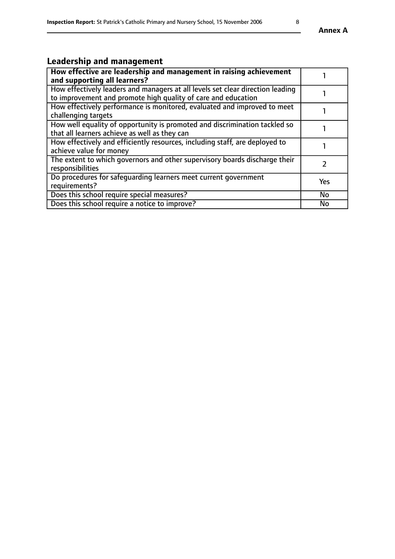# **Leadership and management**

| How effective are leadership and management in raising achievement<br>and supporting all learners?                                              |           |
|-------------------------------------------------------------------------------------------------------------------------------------------------|-----------|
| How effectively leaders and managers at all levels set clear direction leading<br>to improvement and promote high quality of care and education |           |
| How effectively performance is monitored, evaluated and improved to meet<br>challenging targets                                                 |           |
| How well equality of opportunity is promoted and discrimination tackled so<br>that all learners achieve as well as they can                     |           |
| How effectively and efficiently resources, including staff, are deployed to<br>achieve value for money                                          |           |
| The extent to which governors and other supervisory boards discharge their<br>responsibilities                                                  |           |
| Do procedures for safequarding learners meet current government<br>requirements?                                                                | Yes       |
| Does this school require special measures?                                                                                                      | No        |
| Does this school require a notice to improve?                                                                                                   | <b>No</b> |